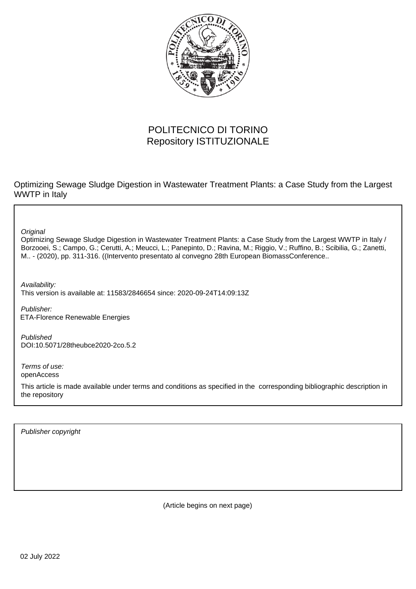

## POLITECNICO DI TORINO Repository ISTITUZIONALE

Optimizing Sewage Sludge Digestion in Wastewater Treatment Plants: a Case Study from the Largest WWTP in Italy

**Original** 

Optimizing Sewage Sludge Digestion in Wastewater Treatment Plants: a Case Study from the Largest WWTP in Italy / Borzooei, S.; Campo, G.; Cerutti, A.; Meucci, L.; Panepinto, D.; Ravina, M.; Riggio, V.; Ruffino, B.; Scibilia, G.; Zanetti, M.. - (2020), pp. 311-316. ((Intervento presentato al convegno 28th European BiomassConference..

Availability: This version is available at: 11583/2846654 since: 2020-09-24T14:09:13Z

Publisher: ETA-Florence Renewable Energies

Published DOI:10.5071/28theubce2020-2co.5.2

Terms of use: openAccess

This article is made available under terms and conditions as specified in the corresponding bibliographic description in the repository

Publisher copyright

(Article begins on next page)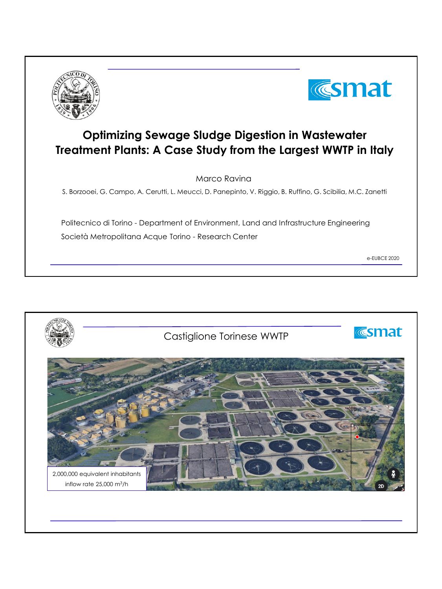



## **Optimizing Sewage Sludge Digestion in Wastewater Treatment Plants: A Case Study from the Largest WWTP in Italy**

Marco Ravina

S. Borzooei, G. Campo, A. Cerutti, L. Meucci, D. Panepinto, V. Riggio, B. Ruffino, G. Scibilia, M.C. Zanetti

Politecnico di Torino - Department of Environment, Land and Infrastructure Engineering Società Metropolitana Acque Torino - Research Center

e-EUBCE 2020

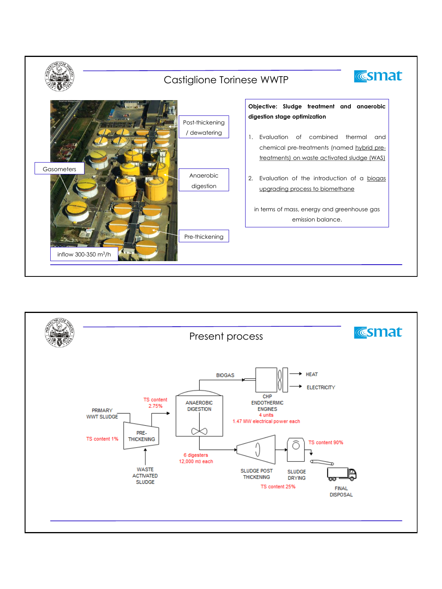

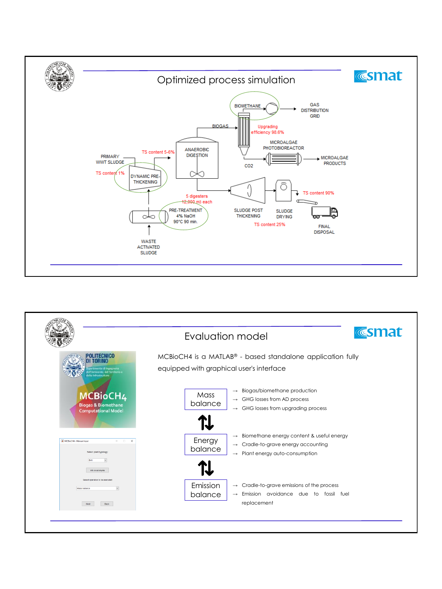

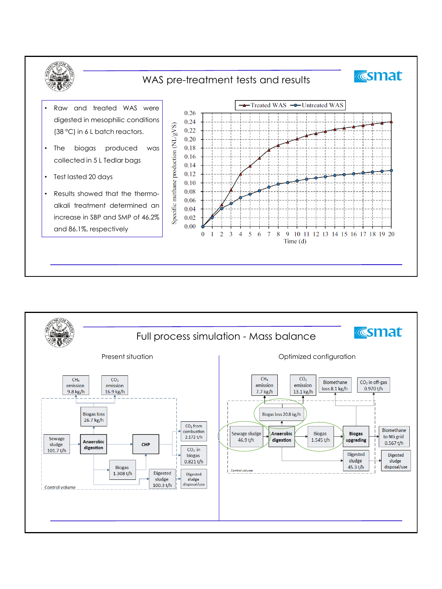

## WAS pre-treatment tests and results

- Raw and treated WAS were digested in mesophilic conditions (38 °C) in 6 L batch reactors.
- The biogas produced was collected in 5 L Tedlar bags
- Test lasted 20 days
- Results showed that the thermoalkali treatment determined an increase in SBP and SMP of 46.2% and 86.1%, respectively



**Esmat** 

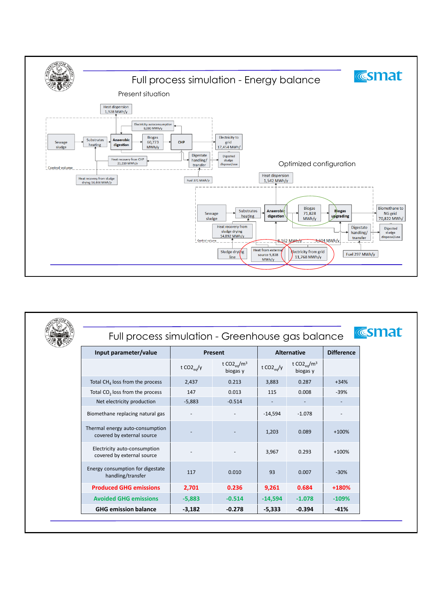

| Full process simulation - Greenhouse gas balance              |                |                                                 |                    |                                     | <b>Esmat</b>      |
|---------------------------------------------------------------|----------------|-------------------------------------------------|--------------------|-------------------------------------|-------------------|
| Input parameter/value                                         | Present        |                                                 | <b>Alternative</b> |                                     | <b>Difference</b> |
|                                                               | t $CO2_{eq}/y$ | t CO2 <sub>e0</sub> /m <sup>3</sup><br>biogas y | t $CO2_{eq}/y$     | t $CO2_{\text{eq}}/m^3$<br>biogas y |                   |
| Total CH <sub>4</sub> loss from the process                   | 2,437          | 0.213                                           | 3,883              | 0.287                               | $+34%$            |
| Total CO <sub>2</sub> loss from the process                   | 147            | 0.013                                           | 115                | 0.008                               | $-39%$            |
| Net electricity production                                    | $-5,883$       | $-0.514$                                        |                    |                                     |                   |
| Biomethane replacing natural gas                              |                |                                                 | $-14,594$          | $-1.078$                            |                   |
| Thermal energy auto-consumption<br>covered by external source |                |                                                 | 1,203              | 0.089                               | $+100%$           |
| Electricity auto-consumption<br>covered by external source    |                |                                                 | 3,967              | 0.293                               | $+100%$           |
| Energy consumption for digestate<br>handling/transfer         | 117            | 0.010                                           | 93                 | 0.007                               | $-30%$            |
| <b>Produced GHG emissions</b>                                 | 2,701          | 0.236                                           | 9,261              | 0.684                               | +180%             |
| <b>Avoided GHG emissions</b>                                  | $-5,883$       | $-0.514$                                        | $-14,594$          | $-1.078$                            | $-109%$           |
| <b>GHG emission balance</b>                                   | $-3,182$       | $-0.278$                                        | $-5,333$           | $-0.394$                            | $-41%$            |